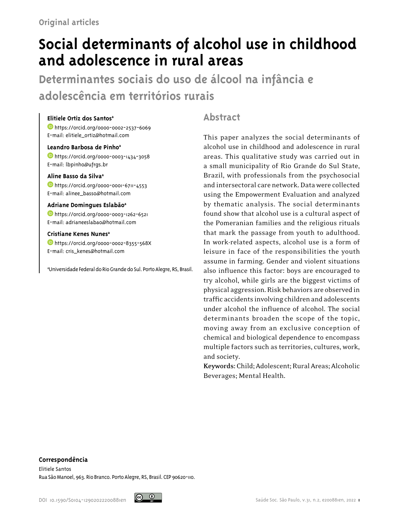# **Social determinants of alcohol use in childhood and adolescence in rural areas**

**Determinantes sociais do uso de álcool na infância e adolescência em territórios rurais**

## **Elitiele Ortiz dos Santosa**

<https://orcid.org/0000-0002-2537-6069> E-mail: elitiele\_ortiz@hotmail.com

## **Leandro Barbosa de Pinhoa**

<https://orcid.org/0000-0003-1434-3058> E-mail: lbpinho@ufrgs.br

#### **Aline Basso da Silvaa**

**https://orcid.org/0000-0001-6711-4553** E-mail: alinee\_basso@hotmail.com

#### **Adriane Domingues Eslabãoa**

<https://orcid.org/0000-0003-1262-6521> E-mail: adrianeeslabao@hotmail.com

#### **Cristiane Kenes Nunesa**

<https://orcid.org/0000-0002-8355-568X> E-mail: cris\_kenes@hotmail.com

a Universidade Federal do Rio Grande do Sul. Porto Alegre, RS, Brasil.

## **Abstract**

This paper analyzes the social determinants of alcohol use in childhood and adolescence in rural areas. This qualitative study was carried out in a small municipality of Rio Grande do Sul State, Brazil, with professionals from the psychosocial and intersectoral care network. Data were collected using the Empowerment Evaluation and analyzed by thematic analysis. The social determinants found show that alcohol use is a cultural aspect of the Pomeranian families and the religious rituals that mark the passage from youth to adulthood. In work-related aspects, alcohol use is a form of leisure in face of the responsibilities the youth assume in farming. Gender and violent situations also influence this factor: boys are encouraged to try alcohol, while girls are the biggest victims of physical aggression. Risk behaviors are observed in traffic accidents involving children and adolescents under alcohol the influence of alcohol. The social determinants broaden the scope of the topic, moving away from an exclusive conception of chemical and biological dependence to encompass multiple factors such as territories, cultures, work, and society.

**Keywords:** Child; Adolescent; Rural Areas; Alcoholic Beverages; Mental Health.

#### **Correspondência**

Elitiele Santos Rua São Manoel, 963. Rio Branco. Porto Alegre, RS, Brasil. CEP 90620-110.

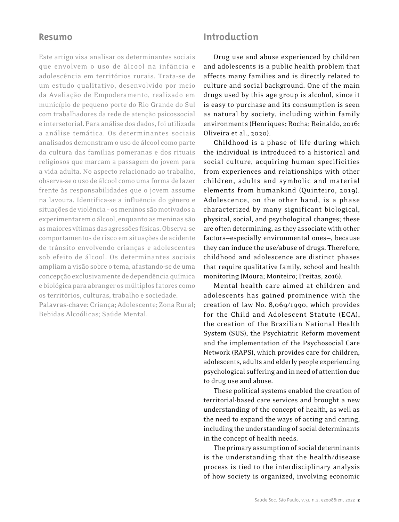## **Resumo**

Este artigo visa analisar os determinantes sociais que envolvem o uso de álcool na infância e adolescência em territórios rurais. Trata-se de um estudo qualitativo, desenvolvido por meio da Avaliação de Empoderamento, realizado em município de pequeno porte do Rio Grande do Sul com trabalhadores da rede de atenção psicossocial e intersetorial. Para análise dos dados, foi utilizada a análise temática. Os determinantes sociais analisados demonstram o uso de álcool como parte da cultura das famílias pomeranas e dos rituais religiosos que marcam a passagem do jovem para a vida adulta. No aspecto relacionado ao trabalho, observa-se o uso de álcool como uma forma de lazer frente às responsabilidades que o jovem assume na lavoura. Identifica-se a influência do gênero e situações de violência – os meninos são motivados a experimentarem o álcool, enquanto as meninas são as maiores vítimas das agressões físicas. Observa-se comportamentos de risco em situações de acidente de trânsito envolvendo crianças e adolescentes sob efeito de álcool. Os determinantes sociais ampliam a visão sobre o tema, afastando-se de uma concepção exclusivamente de dependência química e biológica para abranger os múltiplos fatores como os territórios, culturas, trabalho e sociedade. **Palavras-chave:** Criança; Adolescente; Zona Rural; Bebidas Alcoólicas; Saúde Mental.

## **Introduction**

Drug use and abuse experienced by children and adolescents is a public health problem that affects many families and is directly related to culture and social background. One of the main drugs used by this age group is alcohol, since it is easy to purchase and its consumption is seen as natural by society, including within family environments (Henriques; Rocha; Reinaldo, 2016; Oliveira et al., 2020).

Childhood is a phase of life during which the individual is introduced to a historical and social culture, acquiring human specificities from experiences and relationships with other children, adults and symbolic and material elements from humankind (Quinteiro, 2019). Adolescence, on the other hand, is a phase characterized by many significant biological, physical, social, and psychological changes; these are often determining, as they associate with other factors—especially environmental ones—, because they can induce the use/abuse of drugs. Therefore, childhood and adolescence are distinct phases that require qualitative family, school and health monitoring (Moura; Monteiro; Freitas, 2016).

Mental health care aimed at children and adolescents has gained prominence with the creation of law No. 8,069/1990, which provides for the Child and Adolescent Statute (ECA), the creation of the Brazilian National Health System (SUS), the Psychiatric Reform movement and the implementation of the Psychosocial Care Network (RAPS), which provides care for children, adolescents, adults and elderly people experiencing psychological suffering and in need of attention due to drug use and abuse.

These political systems enabled the creation of territorial-based care services and brought a new understanding of the concept of health, as well as the need to expand the ways of acting and caring, including the understanding of social determinants in the concept of health needs.

The primary assumption of social determinants is the understanding that the health/disease process is tied to the interdisciplinary analysis of how society is organized, involving economic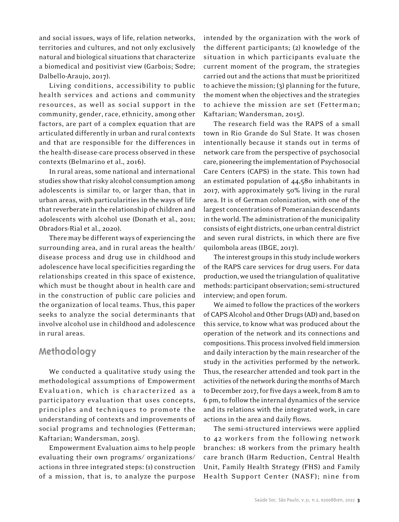and social issues, ways of life, relation networks, territories and cultures, and not only exclusively natural and biological situations that characterize a biomedical and positivist view (Garbois; Sodre; Dalbello-Araujo, 2017).

Living conditions, accessibility to public health services and actions and community resources, as well as social support in the community, gender, race, ethnicity, among other factors, are part of a complex equation that are articulated differently in urban and rural contexts and that are responsible for the differences in the health-disease-care process observed in these contexts (Belmarino et al., 2016).

In rural areas, some national and international studies show that risky alcohol consumption among adolescents is similar to, or larger than, that in urban areas, with particularities in the ways of life that reverberate in the relationship of children and adolescents with alcohol use (Donath et al., 2011; Obradors-Rial et al., 2020).

There may be different ways of experiencing the surrounding area, and in rural areas the health/ disease process and drug use in childhood and adolescence have local specificities regarding the relationships created in this space of existence, which must be thought about in health care and in the construction of public care policies and the organization of local teams. Thus, this paper seeks to analyze the social determinants that involve alcohol use in childhood and adolescence in rural areas.

# **Methodology**

We conducted a qualitative study using the methodological assumptions of Empowerment Evaluation, which is characterized as a participatory evaluation that uses concepts, principles and techniques to promote the understanding of contexts and improvements of social programs and technologies (Fetterman; Kaftarian; Wandersman, 2015).

Empowerment Evaluation aims to help people evaluating their own programs/ organizations/ actions in three integrated steps: (1) construction of a mission, that is, to analyze the purpose

intended by the organization with the work of the different participants; (2) knowledge of the situation in which participants evaluate the current moment of the program, the strategies carried out and the actions that must be prioritized to achieve the mission; (3) planning for the future, the moment when the objectives and the strategies to achieve the mission are set (Fetterman; Kaftarian; Wandersman, 2015).

The research field was the RAPS of a small town in Rio Grande do Sul State. It was chosen intentionally because it stands out in terms of network care from the perspective of psychosocial care, pioneering the implementation of Psychosocial Care Centers (CAPS) in the state. This town had an estimated population of 44,580 inhabitants in 2017, with approximately 50% living in the rural area. It is of German colonization, with one of the largest concentrations of Pomeranian descendants in the world. The administration of the municipality consists of eight districts, one urban central district and seven rural districts, in which there are five quilombola areas (IBGE, 2017).

The interest groups in this study include workers of the RAPS care services for drug users. For data production, we used the triangulation of qualitative methods: participant observation; semi-structured interview; and open forum.

We aimed to follow the practices of the workers of CAPS Alcohol and Other Drugs (AD) and, based on this service, to know what was produced about the operation of the network and its connections and compositions. This process involved field immersion and daily interaction by the main researcher of the study in the activities performed by the network. Thus, the researcher attended and took part in the activities of the network during the months of March to December 2017, for five days a week, from 8 am to 6 pm, to follow the internal dynamics of the service and its relations with the integrated work, in care actions in the area and daily flows.

The semi-structured interviews were applied to 42 workers from the following network branches: 18 workers from the primary health care branch (Harm Reduction, Central Health Unit, Family Health Strategy (FHS) and Family Health Support Center (NASF); nine from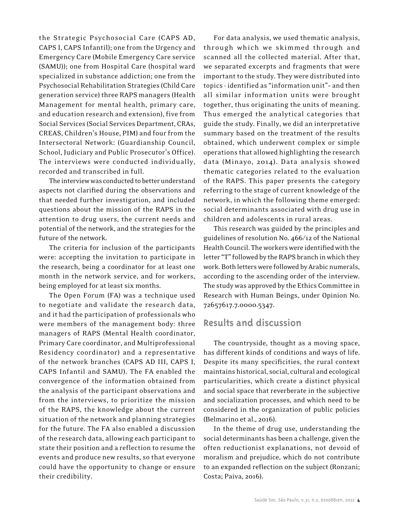the Strategic Psychosocial Care (CAPS AD, CAPS I, CAPS Infantil); one from the Urgency and Emergency Care (Mobile Emergency Care service (SAMU)); one from Hospital Care (hospital ward specialized in substance addiction; one from the Psychosocial Rehabilitation Strategies (Child Care generation service) three RAPS managers (Health Management for mental health, primary care, and education research and extension), five from Social Services (Social Services Department, CRAs, CREAS, Children's House, PIM) and four from the Intersectoral Network: (Guardianship Council, School, Judiciary and Public Prosecutor's Office). The interviews were conducted individually, recorded and transcribed in full.

The interview was conducted to better understand aspects not clarified during the observations and that needed further investigation, and included questions about the mission of the RAPS in the attention to drug users, the current needs and potential of the network, and the strategies for the future of the network.

The criteria for inclusion of the participants were: accepting the invitation to participate in the research, being a coordinator for at least one month in the network service, and for workers, being employed for at least six months.

The Open Forum (FA) was a technique used to negotiate and validate the research data, and it had the participation of professionals who were members of the management body: three managers of RAPS (Mental Health coordinator, Primary Care coordinator, and Multiprofessional Residency coordinator) and a representative of the network branches (CAPS AD III, CAPS I, CAPS Infantil and SAMU). The FA enabled the convergence of the information obtained from the analysis of the participant observations and from the interviews, to prioritize the mission of the RAPS, the knowledge about the current situation of the network and planning strategies for the future. The FA also enabled a discussion of the research data, allowing each participant to state their position and a reflection to resume the events and produce new results, so that everyone could have the opportunity to change or ensure their credibility.

For data analysis, we used thematic analysis, through which we skimmed through and scanned all the collected material. After that, we separated excerpts and fragments that were important to the study. They were distributed into topics - identified as "information unit"– and then all similar information units were brought together, thus originating the units of meaning. Thus emerged the analytical categories that guide the study. Finally, we did an interpretative summary based on the treatment of the results obtained, which underwent complex or simple operations that allowed highlighting the research data (Minayo, 2014). Data analysis showed thematic categories related to the evaluation of the RAPS. This paper presents the category referring to the stage of current knowledge of the network, in which the following theme emerged: social determinants associated with drug use in children and adolescents in rural areas.

This research was guided by the principles and guidelines of resolution No. 466/12 of the National Health Council. The workers were identified with the letter "T" followed by the RAPS branch in which they work. Both letters were followed by Arabic numerals, according to the ascending order of the interview. The study was approved by the Ethics Committee in Research with Human Beings, under Opinion No. 72657617.7.0000.5347.

# **Results and discussion**

The countryside, thought as a moving space, has different kinds of conditions and ways of life. Despite its many specificities, the rural context maintains historical, social, cultural and ecological particularities, which create a distinct physical and social space that reverberate in the subjective and socialization processes, and which need to be considered in the organization of public policies (Belmarino et al., 2016).

In the theme of drug use, understanding the social determinants has been a challenge, given the often reductionist explanations, not devoid of moralism and prejudice, which do not contribute to an expanded reflection on the subject (Ronzani; Costa; Paiva, 2016).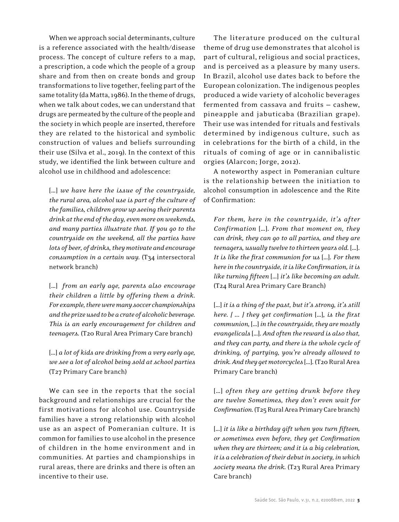When we approach social determinants, culture is a reference associated with the health/disease process. The concept of culture refers to a map, a prescription, a code which the people of a group share and from then on create bonds and group transformations to live together, feeling part of the same totality (da Matta, 1986). In the theme of drugs, when we talk about codes, we can understand that drugs are permeated by the culture of the people and the society in which people are inserted, therefore they are related to the historical and symbolic construction of values and beliefs surrounding their use (Silva et al., 2019). In the context of this study, we identified the link between culture and alcohol use in childhood and adolescence:

[…] *we have here the issue of the countryside, the rural area, alcohol use is part of the culture of the families, children grow up seeing their parents drink at the end of the day, even more on weekends, and many parties illustrate that. If you go to the countryside on the weekend, all the parties have lots of beer, of drinks, they motivate and encourage consumption in a certain way.* (T34 intersectoral network branch)

[…] *from an early age, parents also encourage their children a little by offering them a drink. For example, there were many soccer championships and the prize used to be a crate of alcoholic beverage. This is an early encouragement for children and teenagers.* (T20 Rural Area Primary Care branch)

[...] a lot of kids are drinking from a very early age, *we see a lot of alcohol being sold at school parties* (T27 Primary Care branch)

We can see in the reports that the social background and relationships are crucial for the first motivations for alcohol use. Countryside families have a strong relationship with alcohol use as an aspect of Pomeranian culture. It is common for families to use alcohol in the presence of children in the home environment and in communities. At parties and championships in rural areas, there are drinks and there is often an incentive to their use.

The literature produced on the cultural theme of drug use demonstrates that alcohol is part of cultural, religious and social practices, and is perceived as a pleasure by many users. In Brazil, alcohol use dates back to before the European colonization. The indigenous peoples produced a wide variety of alcoholic beverages fermented from cassava and fruits — cashew, pineapple and jabuticaba (Brazilian grape). Their use was intended for rituals and festivals determined by indigenous culture, such as in celebrations for the birth of a child, in the rituals of coming of age or in cannibalistic orgies (Alarcon; Jorge, 2012).

A noteworthy aspect in Pomeranian culture is the relationship between the initiation to alcohol consumption in adolescence and the Rite of Confirmation:

*For them, here in the countryside, it's after Confirmation* […]*. From that moment on, they can drink, they can go to all parties, and they are teenagers, usually twelve to thirteen years old.* […]*. It is like the first communion for us* […]*. For them here in the countryside, it is like Confirmation, it is like turning fifteen* […] *it's like becoming an adult.*  (T24 Rural Area Primary Care Branch)

[...] it is a thing of the past, but it's strong, it's still *here. [ ... ] they get confirmation* […]*, is the first communion,* […] *in the countryside, they are mostly evangelicals* […]*. And often the reward is also that, and they can party, and there is the whole cycle of drinking, of partying, you're already allowed to drink. And they get motorcycles* […]*.* (T20 Rural Area Primary Care branch)

[…] *often they are getting drunk before they are twelve Sometimes, they don't even wait for Confirmation.* (T25 Rural Area Primary Care branch)

[...] it is like a birthday gift when you turn fifteen, *or sometimes even before, they get Confirmation when they are thirteen; and it is a big celebration, it is a celebration of their debut in society, in which society means the drink.* (T23 Rural Area Primary Care branch)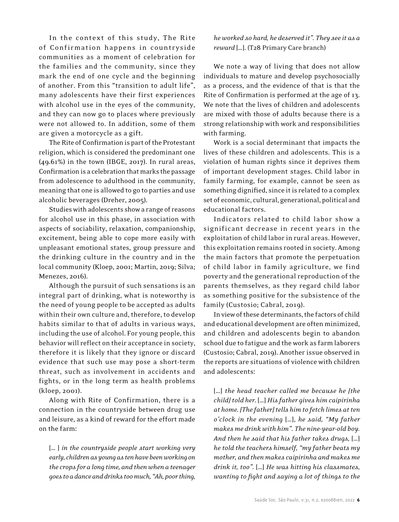In the context of this study, The Rite of Confirmation happens in countryside communities as a moment of celebration for the families and the community, since they mark the end of one cycle and the beginning of another. From this "transition to adult life", many adolescents have their first experiences with alcohol use in the eyes of the community, and they can now go to places where previously were not allowed to. In addition, some of them are given a motorcycle as a gift.

The Rite of Confirmation is part of the Protestant religion, which is considered the predominant one (49.61%) in the town (IBGE, 2017). In rural areas, Confirmation is a celebration that marks the passage from adolescence to adulthood in the community, meaning that one is allowed to go to parties and use alcoholic beverages (Dreher, 2005).

Studies with adolescents show a range of reasons for alcohol use in this phase, in association with aspects of sociability, relaxation, companionship, excitement, being able to cope more easily with unpleasant emotional states, group pressure and the drinking culture in the country and in the local community (Kloep, 2001; Martin, 2019; Silva; Menezes, 2016).

Although the pursuit of such sensations is an integral part of drinking, what is noteworthy is the need of young people to be accepted as adults within their own culture and, therefore, to develop habits similar to that of adults in various ways, including the use of alcohol. For young people, this behavior will reflect on their acceptance in society, therefore it is likely that they ignore or discard evidence that such use may pose a short-term threat, such as involvement in accidents and fights, or in the long term as health problems (kloep, 2001).

Along with Rite of Confirmation, there is a connection in the countryside between drug use and leisure, as a kind of reward for the effort made on the farm:

[… ] *in the countryside people start working very early, children as young as ten have been working on the crops for a long time, and then when a teenager goes to a dance and drinks too much, "Ah, poor thing,* 

*he worked so hard, he deserved it". They see it as a reward* […]. (T28 Primary Care branch)

We note a way of living that does not allow individuals to mature and develop psychosocially as a process, and the evidence of that is that the Rite of Confirmation is performed at the age of 13. We note that the lives of children and adolescents are mixed with those of adults because there is a strong relationship with work and responsibilities with farming.

Work is a social determinant that impacts the lives of these children and adolescents. This is a violation of human rights since it deprives them of important development stages. Child labor in family farming, for example, cannot be seen as something dignified, since it is related to a complex set of economic, cultural, generational, political and educational factors.

Indicators related to child labor show a significant decrease in recent years in the exploitation of child labor in rural areas. However, this exploitation remains rooted in society. Among the main factors that promote the perpetuation of child labor in family agriculture, we find poverty and the generational reproduction of the parents themselves, as they regard child labor as something positive for the subsistence of the family (Custosio; Cabral, 2019).

In view of these determinants, the factors of child and educational development are often minimized, and children and adolescents begin to abandon school due to fatigue and the work as farm laborers (Custosio; Cabral, 2019). Another issue observed in the reports are situations of violence with children and adolescents:

[…] *the head teacher called me because he [the child] told her.* […] *His father gives him caipirinha at home. [The father] tells him to fetch limes at ten o'clock in the evening* […], *he said, "My father makes me drink with him". The nine-year-old boy. And then he said that his father takes drugs,* […] *he told the teachers himself, "my father beats my mother, and then makes caipirinha and makes me drink it, too".* […] *He was hitting his classmates, wanting to fight and saying a lot of things to the*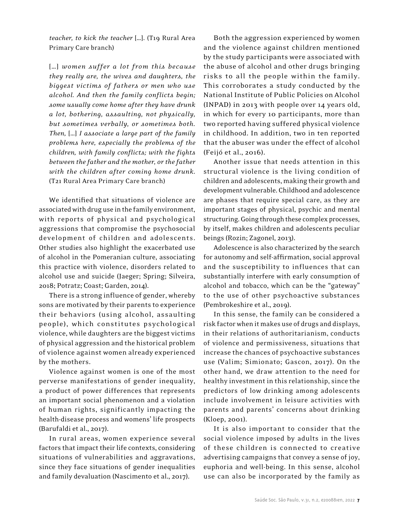*teacher, to kick the teacher* […]. (T19 Rural Area Primary Care branch)

[…] *women suffer a lot from this because they really are, the wives and daughters, the biggest victims of fathers or men who use alcohol. And then the family conflicts begin; some usually come home after they have drunk a lot, bothering, assaulting, not physically, but sometimes verbally, or sometimes both. Then,* […] *I associate a large part of the family problems here, especially the problems of the children, with family conflicts; with the fights between the father and the mother, or the father with the children after coming home drunk.* (T21 Rural Area Primary Care branch)

We identified that situations of violence are associated with drug use in the family environment, with reports of physical and psychological aggressions that compromise the psychosocial development of children and adolescents. Other studies also highlight the exacerbated use of alcohol in the Pomeranian culture, associating this practice with violence, disorders related to alcohol use and suicide (Jaeger; Spring; Silveira, 2018; Potratz; Coast; Garden, 2014).

There is a strong influence of gender, whereby sons are motivated by their parents to experience their behaviors (using alcohol, assaulting people), which constitutes psychological violence, while daughters are the biggest victims of physical aggression and the historical problem of violence against women already experienced by the mothers.

Violence against women is one of the most perverse manifestations of gender inequality, a product of power differences that represents an important social phenomenon and a violation of human rights, significantly impacting the health-disease process and womens' life prospects (Barufaldi et al., 2017).

In rural areas, women experience several factors that impact their life contexts, considering situations of vulnerabilities and aggravations, since they face situations of gender inequalities and family devaluation (Nascimento et al., 2017).

Both the aggression experienced by women and the violence against children mentioned by the study participants were associated with the abuse of alcohol and other drugs bringing risks to all the people within the family. This corroborates a study conducted by the National Institute of Public Policies on Alcohol (INPAD) in 2013 with people over 14 years old, in which for every 10 participants, more than two reported having suffered physical violence in childhood. In addition, two in ten reported that the abuser was under the effect of alcohol (Feijó et al., 2016).

Another issue that needs attention in this structural violence is the living condition of children and adolescents, making their growth and development vulnerable. Childhood and adolescence are phases that require special care, as they are important stages of physical, psychic and mental structuring. Going through these complex processes, by itself, makes children and adolescents peculiar beings (Rozin; Zagonel, 2013).

Adolescence is also characterized by the search for autonomy and self-affirmation, social approval and the susceptibility to influences that can substantially interfere with early consumption of alcohol and tobacco, which can be the "gateway" to the use of other psychoactive substances (Pembrokeshire et al., 2019).

In this sense, the family can be considered a risk factor when it makes use of drugs and displays, in their relations of authoritarianism, conducts of violence and permissiveness, situations that increase the chances of psychoactive substances use (Valim; Simionato; Gascon, 2017). On the other hand, we draw attention to the need for healthy investment in this relationship, since the predictors of low drinking among adolescents include involvement in leisure activities with parents and parents' concerns about drinking (Kloep, 2001).

It is also important to consider that the social violence imposed by adults in the lives of these children is connected to creative advertising campaigns that convey a sense of joy, euphoria and well-being. In this sense, alcohol use can also be incorporated by the family as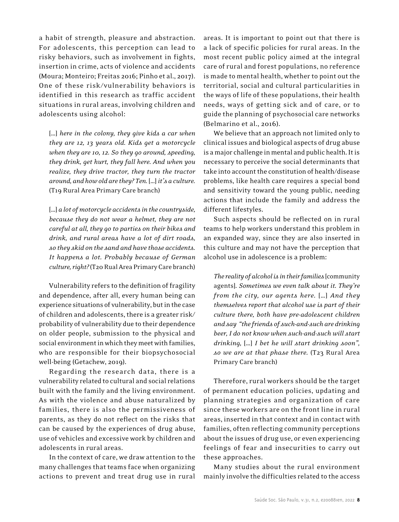a habit of strength, pleasure and abstraction. For adolescents, this perception can lead to risky behaviors, such as involvement in fights, insertion in crime, acts of violence and accidents (Moura; Monteiro; Freitas 2016; Pinho et al., 2017). One of these risk/vulnerability behaviors is identified in this research as traffic accident situations in rural areas, involving children and adolescents using alcohol:

[…] *here in the colony, they give kids a car when they are 12, 13 years old. Kids get a motorcycle when they are 10, 12. So they go around, speeding, they drink, get hurt, they fall here. And when you realize, they drive tractor, they turn the tractor around, and how old are they? Ten.* […] *it's a culture.*  (T19 Rural Area Primary Care branch)

[…] *a lot of motorcycle accidents in the countryside, because they do not wear a helmet, they are not careful at all, they go to parties on their bikes and drink, and rural areas have a lot of dirt roads, so they skid on the sand and have those accidents. It happens a lot. Probably because of German culture, right?* (T20 Rual Area Primary Care branch)

Vulnerability refers to the definition of fragility and dependence, after all, every human being can experience situations of vulnerability, but in the case of children and adolescents, there is a greater risk/ probability of vulnerability due to their dependence on older people, submission to the physical and social environment in which they meet with families, who are responsible for their biopsychosocial well-being (Getachew, 2019).

Regarding the research data, there is a vulnerability related to cultural and social relations built with the family and the living environment. As with the violence and abuse naturalized by families, there is also the permissiveness of parents, as they do not reflect on the risks that can be caused by the experiences of drug abuse, use of vehicles and excessive work by children and adolescents in rural areas.

In the context of care, we draw attention to the many challenges that teams face when organizing actions to prevent and treat drug use in rural areas. It is important to point out that there is a lack of specific policies for rural areas. In the most recent public policy aimed at the integral care of rural and forest populations, no reference is made to mental health, whether to point out the territorial, social and cultural particularities in the ways of life of these populations, their health needs, ways of getting sick and of care, or to guide the planning of psychosocial care networks (Belmarino et al., 2016).

We believe that an approach not limited only to clinical issues and biological aspects of drug abuse is a major challenge in mental and public health. It is necessary to perceive the social determinants that take into account the constitution of health/disease problems, like health care requires a special bond and sensitivity toward the young public, needing actions that include the family and address the different lifestyles.

Such aspects should be reflected on in rural teams to help workers understand this problem in an expanded way, since they are also inserted in this culture and may not have the perception that alcohol use in adolescence is a problem:

*The reality of alcohol is in their families* [community agents]*. Sometimes we even talk about it. They're from the city, our agents here.* […] *And they themselves report that alcohol use is part of their culture there, both have pre-adolescent children and say "the friends of such-and-such are drinking beer, I do not know when such-and-such will start drinking,* […] *I bet he will start drinking soon", so we are at that phase there.* (T23 Rural Area Primary Care branch)

Therefore, rural workers should be the target of permanent education policies, updating and planning strategies and organization of care since these workers are on the front line in rural areas, inserted in that context and in contact with families, often reflecting community perceptions about the issues of drug use, or even experiencing feelings of fear and insecurities to carry out these approaches.

Many studies about the rural environment mainly involve the difficulties related to the access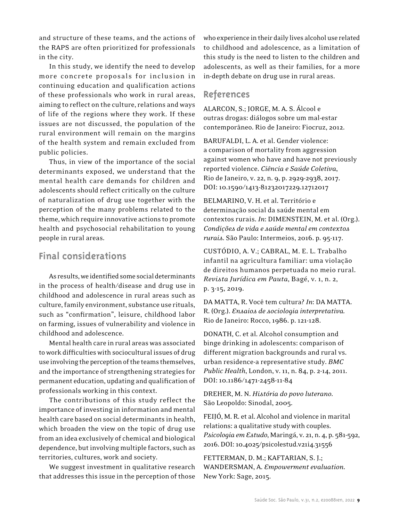and structure of these teams, and the actions of the RAPS are often prioritized for professionals in the city.

In this study, we identify the need to develop more concrete proposals for inclusion in continuing education and qualification actions of these professionals who work in rural areas, aiming to reflect on the culture, relations and ways of life of the regions where they work. If these issues are not discussed, the population of the rural environment will remain on the margins of the health system and remain excluded from public policies.

Thus, in view of the importance of the social determinants exposed, we understand that the mental health care demands for children and adolescents should reflect critically on the culture of naturalization of drug use together with the perception of the many problems related to the theme, which require innovative actions to promote health and psychosocial rehabilitation to young people in rural areas.

# **Final considerations**

As results, we identified some social determinants in the process of health/disease and drug use in childhood and adolescence in rural areas such as culture, family environment, substance use rituals, such as "confirmation", leisure, childhood labor on farming, issues of vulnerability and violence in childhood and adolescence.

Mental health care in rural areas was associated to work difficulties with sociocultural issues of drug use involving the perception of the teams themselves, and the importance of strengthening strategies for permanent education, updating and qualification of professionals working in this context.

The contributions of this study reflect the importance of investing in information and mental health care based on social determinants in health, which broaden the view on the topic of drug use from an idea exclusively of chemical and biological dependence, but involving multiple factors, such as territories, cultures, work and society.

We suggest investment in qualitative research that addresses this issue in the perception of those who experience in their daily lives alcohol use related to childhood and adolescence, as a limitation of this study is the need to listen to the children and adolescents, as well as their families, for a more in-depth debate on drug use in rural areas.

# **References**

ALARCON, S.; JORGE, M. A. S. Álcool e outras drogas: diálogos sobre um mal-estar contemporâneo. Rio de Janeiro: Fiocruz, 2012.

BARUFALDI, L. A. et al. Gender violence: a comparison of mortality from aggression against women who have and have not previously reported violence. *Ciência e Saúde Coletiva*, Rio de Janeiro, v. 22, n. 9, p. 2929-2938, 2017. DOI: 10.1590/1413-81232017229.12712017

BELMARINO, V. H. et al. Território e determinação social da saúde mental em contextos rurais. *In*: DIMENSTEIN, M. et al. (Org.). *Condições de vida e saúde mental em contextos rurais*. São Paulo: Intermeios, 2016. p. 95-117.

CUSTÓDIO, A. V.; CABRAL, M. E. L. Trabalho infantil na agricultura familiar: uma violação de direitos humanos perpetuada no meio rural. *Revista Jurídica em Pauta*, Bagé, v. 1, n. 2, p. 3-15, 2019.

DA MATTA, R. Você tem cultura? *In*: DA MATTA. R. (Org.). *Ensaios de sociologia interpretativa.* Rio de Janeiro: Rocco, 1986. p. 121-128.

DONATH, C. et al. Alcohol consumption and binge drinking in adolescents: comparison of different migration backgrounds and rural vs. urban residence-a representative study. *BMC Public Health*, London, v. 11, n. 84, p. 2-14, 2011. DOI: 10.1186/1471-2458-11-84

DREHER, M. N. *História do povo luterano*. São Leopoldo: Sinodal, 2005.

FEIJÓ, M. R. et al. Alcohol and violence in marital relations: a qualitative study with couples. *Psicologia em Estudo*, Maringá, v. 21, n. 4, p. 581-592, 2016. DOI: 10.4025/psicolestud.v21i4.31556

FETTERMAN, D. M.; KAFTARIAN, S. J.; WANDERSMAN, A. *Empowerment evaluation*. New York: Sage, 2015.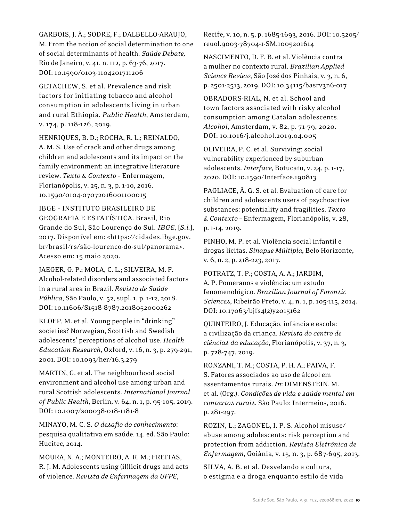GARBOIS, J. Á.; SODRE, F.; DALBELLO-ARAUJO, M. From the notion of social determination to one of social determinants of health. *Saúde Debate,*  Rio de Janeiro, v. 41, n. 112, p. 63-76, 2017. DOI: 10.1590/0103-1104201711206

GETACHEW, S. et al. Prevalence and risk factors for initiating tobacco and alcohol consumption in adolescents living in urban and rural Ethiopia. *Public Health*, Amsterdam, v. 174, p. 118-126, 2019.

HENRIQUES, B. D.; ROCHA, R. L.; REINALDO, A. M. S. Use of crack and other drugs among children and adolescents and its impact on the family environment: an integrative literature review. *Texto & Contexto* – Enfermagem, Florianópolis, v. 25, n. 3, p. 1-10, 2016. 10.1590/0104-07072016001100015

IBGE – INSTITUTO BRASILEIRO DE GEOGRAFIA E ESTATÍSTICA. Brasil, Rio Grande do Sul, São Lourenço do Sul. *IBGE*, [*S.l.*], 2017. Disponível em: <https://cidades.ibge.gov. br/brasil/rs/são-lourenco-do-sul/panorama>. Acesso em: 15 maio 2020.

JAEGER, G. P.; MOLA, C. L.; SILVEIRA, M. F. Alcohol-related disorders and associated factors in a rural area in Brazil. *Revista de Saúde Pública*, São Paulo, v. 52, supl. 1, p. 1-12, 2018. DOI: 10.11606/S1518-8787.2018052000262

KLOEP, M. et al. Young people in "drinking" societies? Norwegian, Scottish and Swedish adolescents' perceptions of alcohol use. *Health Education Research*, Oxford, v. 16, n. 3, p. 279-291, 2001. DOI: 10.1093/her/16.3.279

MARTIN, G. et al. The neighbourhood social environment and alcohol use among urban and rural Scottish adolescents. *International Journal of Public Health*, Berlin, v. 64, n. 1, p. 95-105, 2019. DOI: 10.1007/s00038-018-1181-8

MINAYO, M. C. S. *O desafio do conhecimento*: pesquisa qualitativa em saúde. 14. ed. São Paulo: Hucitec, 2014.

MOURA, N. A.; MONTEIRO, A. R. M.; FREITAS, R. J. M. Adolescents using (il)licit drugs and acts of violence. *Revista de Enfermagem da UFPE*,

Recife, v. 10, n. 5, p. 1685-1693, 2016. DOI: 10.5205/ reuol.9003-78704-1-SM.1005201614

NASCIMENTO, D. F. B. et al. Violência contra a mulher no contexto rural. *Brazilian Applied Science Review*, São José dos Pinhais, v. 3, n. 6, p. 2501-2513, 2019. DOI: 10.34115/basrv3n6-017

OBRADORS-RIAL, N. et al. School and town factors associated with risky alcohol consumption among Catalan adolescents. *Alcohol*, Amsterdam, v. 82, p. 71-79, 2020. DOI: 10.1016/j.alcohol.2019.04.005

OLIVEIRA, P. C. et al. Surviving: social vulnerability experienced by suburban adolescents. *Interface*, Botucatu, v. 24, p. 1-17, 2020. DOI: 10.1590/Interface.190813

PAGLIACE, Â. G. S. et al. Evaluation of care for children and adolescents users of psychoactive substances: potentiality and fragilities. *Texto & Contexto* – Enfermagem, Florianópolis, v. 28, p. 1-14, 2019.

PINHO, M. P. et al. Violência social infantil e drogas lícitas. *Sinapse Múltipla*, Belo Horizonte, v. 6, n. 2, p. 218-223, 2017.

POTRATZ, T. P.; COSTA, A. A.; JARDIM, A. P. Pomeranos e violência: um estudo fenomenológico. *Brazilian Journal of Forensic Sciences*, Ribeirão Preto, v. 4, n. 1, p. 105-115, 2014. DOI: 10.17063/bjfs4(2)y2015162

QUINTEIRO, J. Educação, infância e escola: a civilização da criança. *Revista do centro de ciências da educação*, Florianópolis, v. 37, n. 3, p. 728-747, 2019.

RONZANI, T. M.; COSTA, P. H. A.; PAIVA, F. S. Fatores associados ao uso de álcool em assentamentos rurais. *In*: DIMENSTEIN, M. et al. (Org.). *Condições de vida e saúde mental em contextos rurais*. São Paulo: Intermeios, 2016. p. 281-297.

ROZIN, L.; ZAGONEL, I. P. S. Alcohol misuse/ abuse among adolescents: risk perception and protection from addiction. *Revista Eletrônica de Enf*e*rmagem*, Goiânia, v. 15, n. 3, p. 687-695, 2013.

SILVA, A. B. et al. Desvelando a cultura, o estigma e a droga enquanto estilo de vida